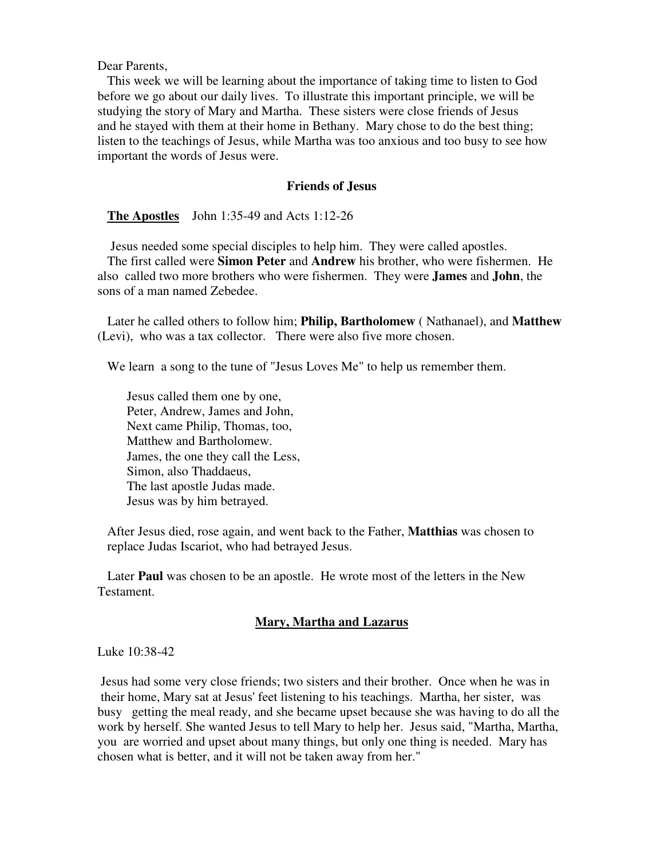Dear Parents,

 This week we will be learning about the importance of taking time to listen to God before we go about our daily lives. To illustrate this important principle, we will be studying the story of Mary and Martha. These sisters were close friends of Jesus and he stayed with them at their home in Bethany. Mary chose to do the best thing; listen to the teachings of Jesus, while Martha was too anxious and too busy to see how important the words of Jesus were.

## **Friends of Jesus**

**The Apostles** John 1:35-49 and Acts 1:12-26

 Jesus needed some special disciples to help him. They were called apostles. The first called were **Simon Peter** and **Andrew** his brother, who were fishermen. He also called two more brothers who were fishermen. They were **James** and **John**, the sons of a man named Zebedee.

 Later he called others to follow him; **Philip, Bartholomew** ( Nathanael), and **Matthew** (Levi), who was a tax collector. There were also five more chosen.

We learn a song to the tune of "Jesus Loves Me" to help us remember them.

 Jesus called them one by one, Peter, Andrew, James and John, Next came Philip, Thomas, too, Matthew and Bartholomew. James, the one they call the Less, Simon, also Thaddaeus, The last apostle Judas made. Jesus was by him betrayed.

 After Jesus died, rose again, and went back to the Father, **Matthias** was chosen to replace Judas Iscariot, who had betrayed Jesus.

 Later **Paul** was chosen to be an apostle. He wrote most of the letters in the New Testament.

## **Mary, Martha and Lazarus**

Luke 10:38-42

 Jesus had some very close friends; two sisters and their brother. Once when he was in their home, Mary sat at Jesus' feet listening to his teachings. Martha, her sister, was busy getting the meal ready, and she became upset because she was having to do all the work by herself. She wanted Jesus to tell Mary to help her. Jesus said, "Martha, Martha, you are worried and upset about many things, but only one thing is needed. Mary has chosen what is better, and it will not be taken away from her."